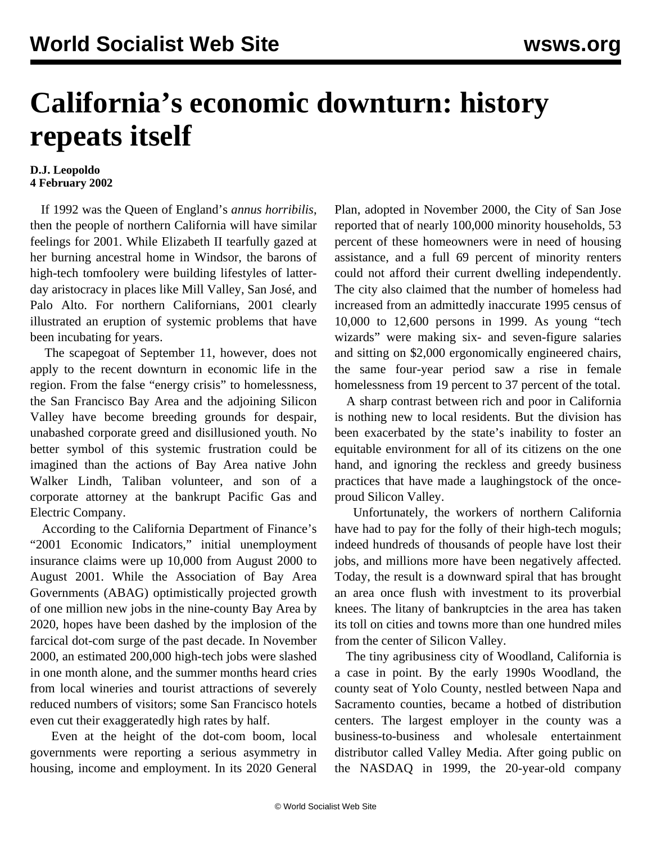## **California's economic downturn: history repeats itself**

## **D.J. Leopoldo 4 February 2002**

 If 1992 was the Queen of England's *annus horribilis*, then the people of northern California will have similar feelings for 2001. While Elizabeth II tearfully gazed at her burning ancestral home in Windsor, the barons of high-tech tomfoolery were building lifestyles of latterday aristocracy in places like Mill Valley, San José, and Palo Alto. For northern Californians, 2001 clearly illustrated an eruption of systemic problems that have been incubating for years.

 The scapegoat of September 11, however, does not apply to the recent downturn in economic life in the region. From the false "energy crisis" to homelessness, the San Francisco Bay Area and the adjoining Silicon Valley have become breeding grounds for despair, unabashed corporate greed and disillusioned youth. No better symbol of this systemic frustration could be imagined than the actions of Bay Area native John Walker Lindh, Taliban volunteer, and son of a corporate attorney at the bankrupt Pacific Gas and Electric Company.

 According to the California Department of Finance's "2001 Economic Indicators," initial unemployment insurance claims were up 10,000 from August 2000 to August 2001. While the Association of Bay Area Governments (ABAG) optimistically projected growth of one million new jobs in the nine-county Bay Area by 2020, hopes have been dashed by the implosion of the farcical dot-com surge of the past decade. In November 2000, an estimated 200,000 high-tech jobs were slashed in one month alone, and the summer months heard cries from local wineries and tourist attractions of severely reduced numbers of visitors; some San Francisco hotels even cut their exaggeratedly high rates by half.

 Even at the height of the dot-com boom, local governments were reporting a serious asymmetry in housing, income and employment. In its 2020 General Plan, adopted in November 2000, the City of San Jose reported that of nearly 100,000 minority households, 53 percent of these homeowners were in need of housing assistance, and a full 69 percent of minority renters could not afford their current dwelling independently. The city also claimed that the number of homeless had increased from an admittedly inaccurate 1995 census of 10,000 to 12,600 persons in 1999. As young "tech wizards" were making six- and seven-figure salaries and sitting on \$2,000 ergonomically engineered chairs, the same four-year period saw a rise in female homelessness from 19 percent to 37 percent of the total.

 A sharp contrast between rich and poor in California is nothing new to local residents. But the division has been exacerbated by the state's inability to foster an equitable environment for all of its citizens on the one hand, and ignoring the reckless and greedy business practices that have made a laughingstock of the onceproud Silicon Valley.

 Unfortunately, the workers of northern California have had to pay for the folly of their high-tech moguls; indeed hundreds of thousands of people have lost their jobs, and millions more have been negatively affected. Today, the result is a downward spiral that has brought an area once flush with investment to its proverbial knees. The litany of bankruptcies in the area has taken its toll on cities and towns more than one hundred miles from the center of Silicon Valley.

 The tiny agribusiness city of Woodland, California is a case in point. By the early 1990s Woodland, the county seat of Yolo County, nestled between Napa and Sacramento counties, became a hotbed of distribution centers. The largest employer in the county was a business-to-business and wholesale entertainment distributor called Valley Media. After going public on the NASDAQ in 1999, the 20-year-old company